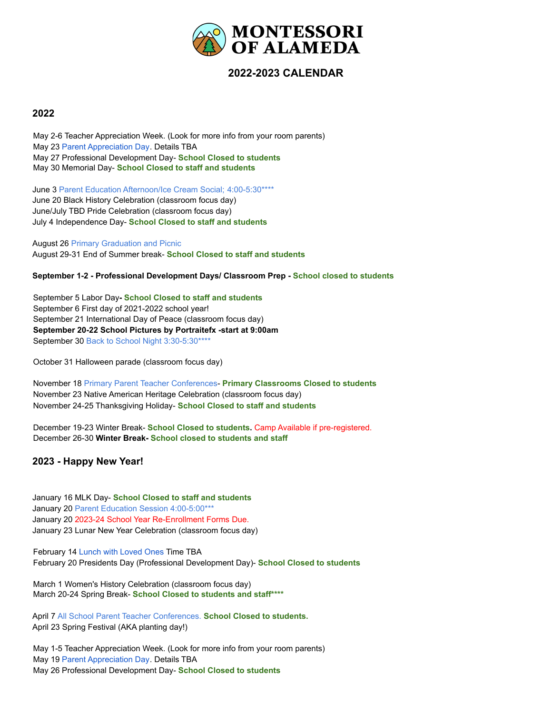

# **2022-2023 CALENDAR**

## **2022**

May 2-6 Teacher Appreciation Week. (Look for more info from your room parents) May 23 Parent Appreciation Day. Details TBA May 27 Professional Development Day- **School Closed to students** May 30 Memorial Day- **School Closed to staff and students**

June 3 Parent Education Afternoon/Ice Cream Social; 4:00-5:30\*\*\*\* June 20 Black History Celebration (classroom focus day) June/July TBD Pride Celebration (classroom focus day) July 4 Independence Day- **School Closed to staff and students**

August 26 Primary Graduation and Picnic August 29-31 End of Summer break- **School Closed to staff and students**

#### **September 1-2 - Professional Development Days/ Classroom Prep - School closed to students**

September 5 Labor Day**- School Closed to staff and students** September 6 First day of 2021-2022 school year! September 21 International Day of Peace (classroom focus day) **September 20-22 School Pictures by Portraitefx -start at 9:00am** September 30 Back to School Night 3:30-5:30\*\*\*\*

October 31 Halloween parade (classroom focus day)

November 18 Primary Parent Teacher Conferences- **Primary Classrooms Closed to students** November 23 Native American Heritage Celebration (classroom focus day) November 24-25 Thanksgiving Holiday- **School Closed to staff and students**

December 19-23 Winter Break- **School Closed to students.** Camp Available if pre-registered. December 26-30 **Winter Break- School closed to students and staff**

## **2023 - Happy New Year!**

January 16 MLK Day- **School Closed to staff and students** January 20 Parent Education Session 4:00-5:00\*\*\* January 20 2023-24 School Year Re-Enrollment Forms Due. January 23 Lunar New Year Celebration (classroom focus day)

February 14 Lunch with Loved Ones Time TBA February 20 Presidents Day (Professional Development Day)- **School Closed to students**

March 1 Women's History Celebration (classroom focus day) March 20-24 Spring Break- **School Closed to students and staff\*\*\*\***

April 7 All School Parent Teacher Conferences. **School Closed to students.** April 23 Spring Festival (AKA planting day!)

May 1-5 Teacher Appreciation Week. (Look for more info from your room parents) May 19 Parent Appreciation Day. Details TBA May 26 Professional Development Day- **School Closed to students**